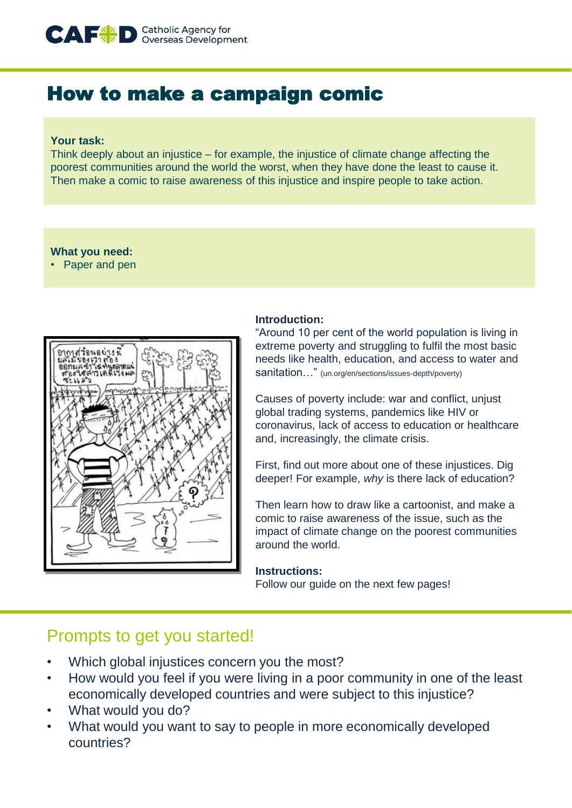

# How to make a campaign comic

### **Your task:**

Think deeply about an injustice – for example, the injustice of climate change affecting the poorest communities around the world the worst, when they have done the least to cause it. Then make a comic to raise awareness of this injustice and inspire people to take action.

## **What you need:**

• Paper and pen



## **Introduction:**

"Around 10 per cent of the world population is living in extreme poverty and struggling to fulfil the most basic needs like health, education, and access to water and sanitation…" (un.org/en/sections/issues-depth/poverty)

Causes of poverty include: war and conflict, unjust global trading systems, pandemics like HIV or coronavirus, lack of access to education or healthcare and, increasingly, the climate crisis.

First, find out more about one of these injustices. Dig deeper! For example, *why* is there lack of education?

Then learn how to draw like a cartoonist, and make a comic to raise awareness of the issue, such as the impact of climate change on the poorest communities around the world.

## **Instructions:**

Follow our guide on the next few pages!

## Prompts to get you started!

- Which global injustices concern you the most?
- How would you feel if you were living in a poor community in one of the least economically developed countries and were subject to this injustice?
- What would you do?
- What would you want to say to people in more economically developed countries?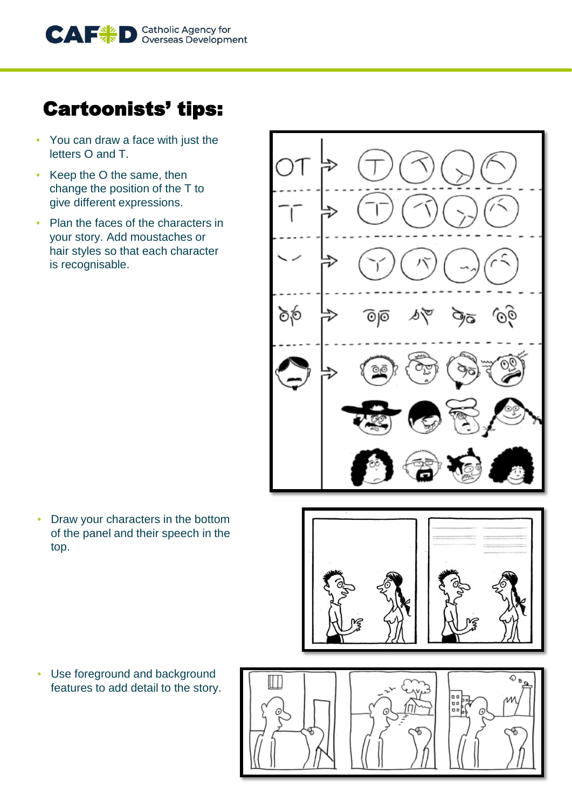

# Cartoonists' tips:

- You can draw a face with just the letters O and T.
- Keep the O the same, then change the position of the T to give different expressions.
- Plan the faces of the characters in your story. Add moustaches or hair styles so that each character is recognisable.



• Draw your characters in the bottom of the panel and their speech in the top.



• Use foreground and background features to add detail to the story.

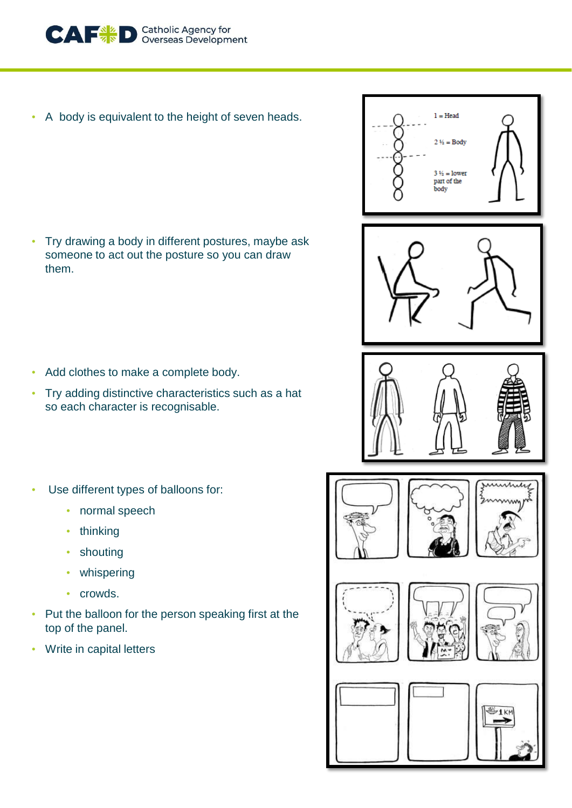

A body is equivalent to the height of seven heads.

• Try drawing a body in different postures, maybe ask someone to act out the posture so you can draw them.

- Add clothes to make a complete body.
- Try adding distinctive characteristics such as a hat so each character is recognisable.
- Use different types of balloons for:
	- normal speech
	- thinking
	- shouting
	- whispering
	- crowds.
- Put the balloon for the person speaking first at the top of the panel.
- Write in capital letters



 $1 = Head$ 

 $2\frac{1}{2} = \text{Body}$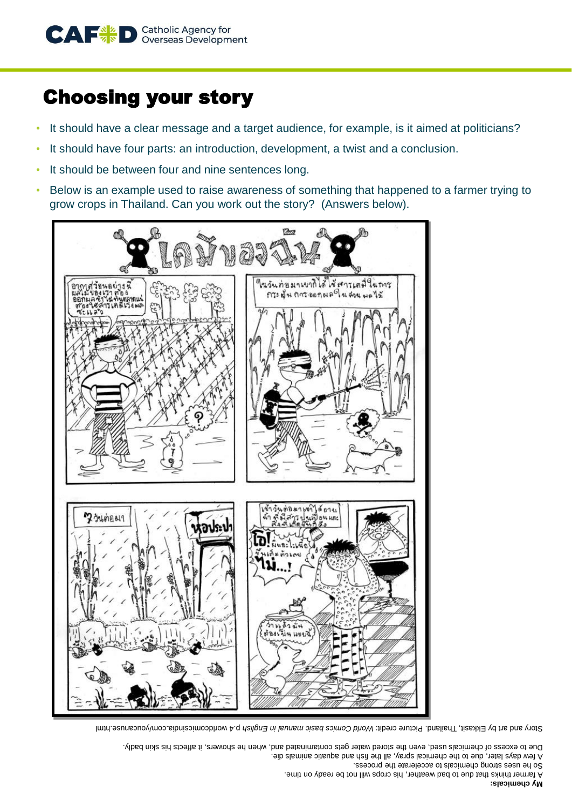

# Choosing your story

- It should have a clear message and a target audience, for example, is it aimed at politicians?
- It should have four parts: an introduction, development, a twist and a conclusion.
- It should be between four and nine sentences long.
- Below is an example used to raise awareness of something that happened to a farmer trying to grow crops in Thailand. Can you work out the story? (Answers below).



P.4 world commission and press in a prefine and comics basic manual in English p.4 worldcomicsindia. And are but a

to excess of chemicals used, even the stored water gets contaminated and, when he showers, it affects his skin badly. Due

few days later, due to the chemical spray, all the fish and aquatic animals die. A

So he uses strong chemicals to accelerate the process.

A farmer thinks that due to bad weather, his crops will not be ready on time.

#### **My chemicals:**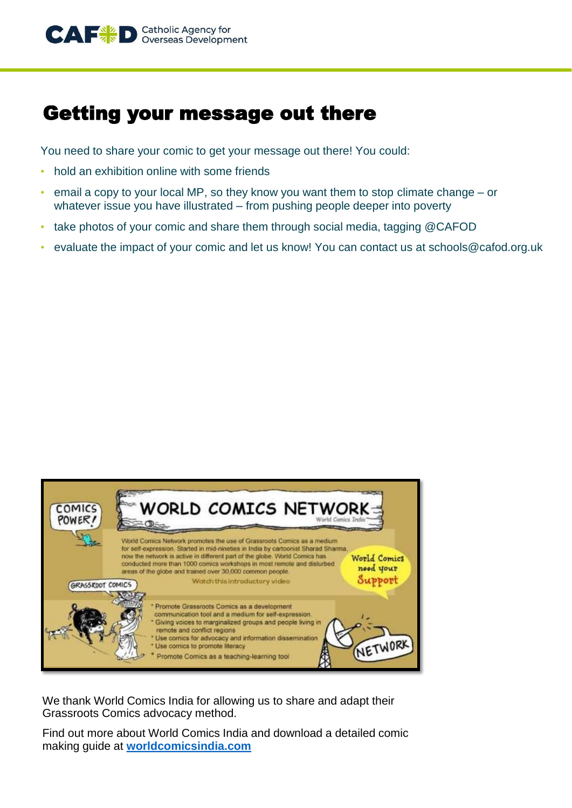# Getting your message out there

You need to share your comic to get your message out there! You could:

- hold an exhibition online with some friends
- email a copy to your local MP, so they know you want them to stop climate change or whatever issue you have illustrated – from pushing people deeper into poverty
- take photos of your comic and share them through social media, tagging @CAFOD
- evaluate the impact of your comic and let us know! You can contact us at schools@cafod.org.uk



We thank World Comics India for allowing us to share and adapt their Grassroots Comics advocacy method.

Find out more about World Comics India and download a detailed comic making guide at **[worldcomicsindia.com](about:blank)**